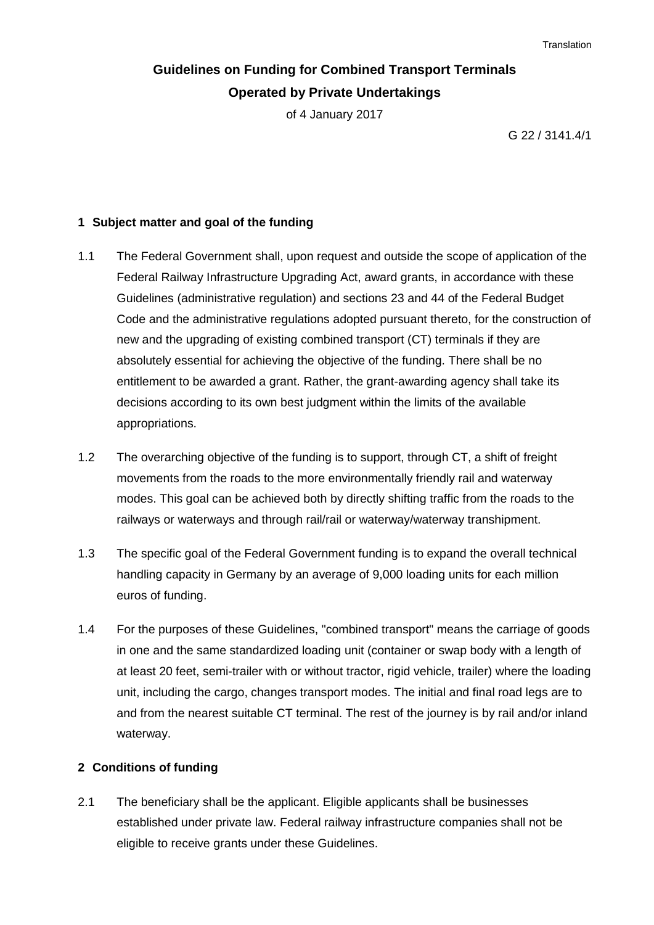**Translation** 

# **Guidelines on Funding for Combined Transport Terminals Operated by Private Undertakings**

of 4 January 2017

G 22 / 3141.4/1

### **1 Subject matter and goal of the funding**

- 1.1 The Federal Government shall, upon request and outside the scope of application of the Federal Railway Infrastructure Upgrading Act, award grants, in accordance with these Guidelines (administrative regulation) and sections 23 and 44 of the Federal Budget Code and the administrative regulations adopted pursuant thereto, for the construction of new and the upgrading of existing combined transport (CT) terminals if they are absolutely essential for achieving the objective of the funding. There shall be no entitlement to be awarded a grant. Rather, the grant-awarding agency shall take its decisions according to its own best judgment within the limits of the available appropriations.
- 1.2 The overarching objective of the funding is to support, through CT, a shift of freight movements from the roads to the more environmentally friendly rail and waterway modes. This goal can be achieved both by directly shifting traffic from the roads to the railways or waterways and through rail/rail or waterway/waterway transhipment.
- 1.3 The specific goal of the Federal Government funding is to expand the overall technical handling capacity in Germany by an average of 9,000 loading units for each million euros of funding.
- 1.4 For the purposes of these Guidelines, "combined transport" means the carriage of goods in one and the same standardized loading unit (container or swap body with a length of at least 20 feet, semi-trailer with or without tractor, rigid vehicle, trailer) where the loading unit, including the cargo, changes transport modes. The initial and final road legs are to and from the nearest suitable CT terminal. The rest of the journey is by rail and/or inland waterway.

### **2 Conditions of funding**

2.1 The beneficiary shall be the applicant. Eligible applicants shall be businesses established under private law. Federal railway infrastructure companies shall not be eligible to receive grants under these Guidelines.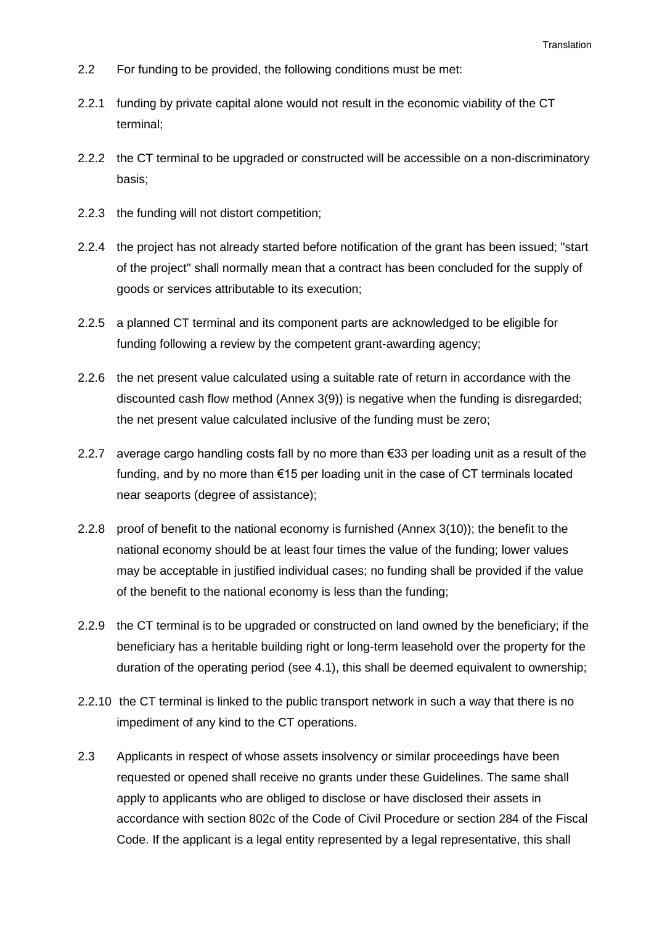- 2.2 For funding to be provided, the following conditions must be met:
- 2.2.1 funding by private capital alone would not result in the economic viability of the CT terminal;
- 2.2.2 the CT terminal to be upgraded or constructed will be accessible on a non-discriminatory basis;
- 2.2.3 the funding will not distort competition;
- 2.2.4 the project has not already started before notification of the grant has been issued; "start of the project" shall normally mean that a contract has been concluded for the supply of goods or services attributable to its execution;
- 2.2.5 a planned CT terminal and its component parts are acknowledged to be eligible for funding following a review by the competent grant-awarding agency;
- 2.2.6 the net present value calculated using a suitable rate of return in accordance with the discounted cash flow method (Annex 3(9)) is negative when the funding is disregarded; the net present value calculated inclusive of the funding must be zero;
- 2.2.7 average cargo handling costs fall by no more than €33 per loading unit as a result of the funding, and by no more than €15 per loading unit in the case of CT terminals located near seaports (degree of assistance);
- 2.2.8 proof of benefit to the national economy is furnished (Annex 3(10)); the benefit to the national economy should be at least four times the value of the funding; lower values may be acceptable in justified individual cases; no funding shall be provided if the value of the benefit to the national economy is less than the funding;
- 2.2.9 the CT terminal is to be upgraded or constructed on land owned by the beneficiary; if the beneficiary has a heritable building right or long-term leasehold over the property for the duration of the operating period (see 4.1), this shall be deemed equivalent to ownership;
- 2.2.10 the CT terminal is linked to the public transport network in such a way that there is no impediment of any kind to the CT operations.
- 2.3 Applicants in respect of whose assets insolvency or similar proceedings have been requested or opened shall receive no grants under these Guidelines. The same shall apply to applicants who are obliged to disclose or have disclosed their assets in accordance with section 802c of the Code of Civil Procedure or section 284 of the Fiscal Code. If the applicant is a legal entity represented by a legal representative, this shall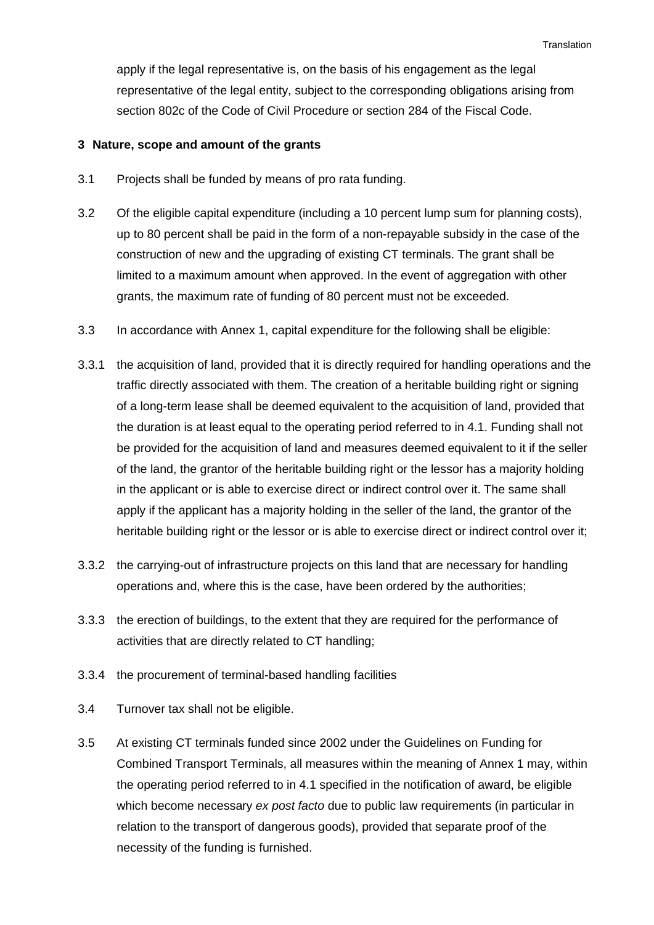apply if the legal representative is, on the basis of his engagement as the legal representative of the legal entity, subject to the corresponding obligations arising from section 802c of the Code of Civil Procedure or section 284 of the Fiscal Code.

#### **3 Nature, scope and amount of the grants**

- 3.1 Projects shall be funded by means of pro rata funding.
- 3.2 Of the eligible capital expenditure (including a 10 percent lump sum for planning costs), up to 80 percent shall be paid in the form of a non-repayable subsidy in the case of the construction of new and the upgrading of existing CT terminals. The grant shall be limited to a maximum amount when approved. In the event of aggregation with other grants, the maximum rate of funding of 80 percent must not be exceeded.
- 3.3 In accordance with Annex 1, capital expenditure for the following shall be eligible:
- 3.3.1 the acquisition of land, provided that it is directly required for handling operations and the traffic directly associated with them. The creation of a heritable building right or signing of a long-term lease shall be deemed equivalent to the acquisition of land, provided that the duration is at least equal to the operating period referred to in 4.1. Funding shall not be provided for the acquisition of land and measures deemed equivalent to it if the seller of the land, the grantor of the heritable building right or the lessor has a majority holding in the applicant or is able to exercise direct or indirect control over it. The same shall apply if the applicant has a majority holding in the seller of the land, the grantor of the heritable building right or the lessor or is able to exercise direct or indirect control over it;
- 3.3.2 the carrying-out of infrastructure projects on this land that are necessary for handling operations and, where this is the case, have been ordered by the authorities;
- 3.3.3 the erection of buildings, to the extent that they are required for the performance of activities that are directly related to CT handling;
- 3.3.4 the procurement of terminal-based handling facilities
- 3.4 Turnover tax shall not be eligible.
- 3.5 At existing CT terminals funded since 2002 under the Guidelines on Funding for Combined Transport Terminals, all measures within the meaning of Annex 1 may, within the operating period referred to in 4.1 specified in the notification of award, be eligible which become necessary *ex post facto* due to public law requirements (in particular in relation to the transport of dangerous goods), provided that separate proof of the necessity of the funding is furnished.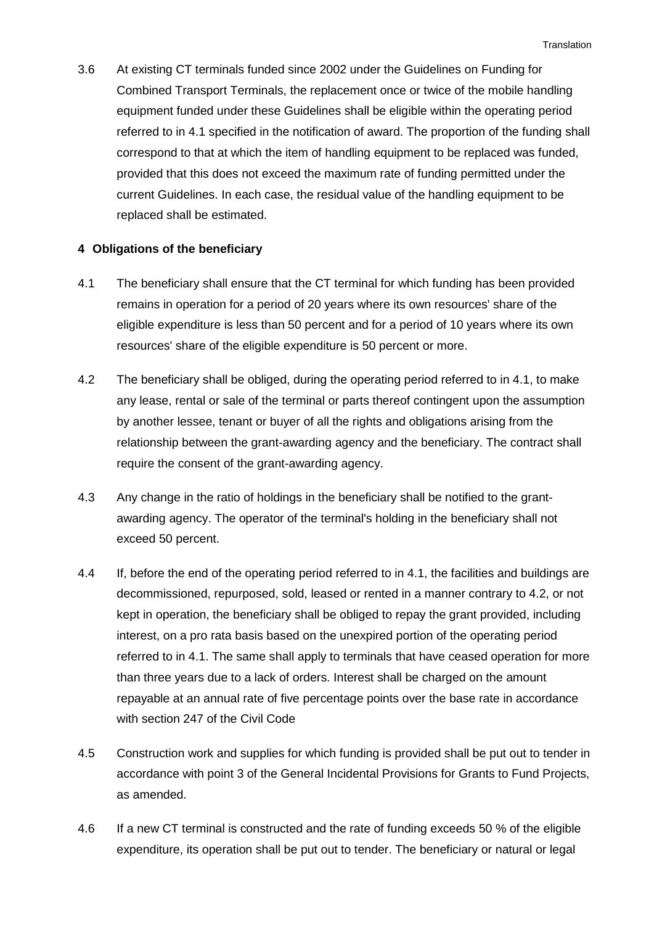3.6 At existing CT terminals funded since 2002 under the Guidelines on Funding for Combined Transport Terminals, the replacement once or twice of the mobile handling equipment funded under these Guidelines shall be eligible within the operating period referred to in 4.1 specified in the notification of award. The proportion of the funding shall correspond to that at which the item of handling equipment to be replaced was funded, provided that this does not exceed the maximum rate of funding permitted under the current Guidelines. In each case, the residual value of the handling equipment to be replaced shall be estimated.

#### **4 Obligations of the beneficiary**

- 4.1 The beneficiary shall ensure that the CT terminal for which funding has been provided remains in operation for a period of 20 years where its own resources' share of the eligible expenditure is less than 50 percent and for a period of 10 years where its own resources' share of the eligible expenditure is 50 percent or more.
- 4.2 The beneficiary shall be obliged, during the operating period referred to in 4.1, to make any lease, rental or sale of the terminal or parts thereof contingent upon the assumption by another lessee, tenant or buyer of all the rights and obligations arising from the relationship between the grant-awarding agency and the beneficiary. The contract shall require the consent of the grant-awarding agency.
- 4.3 Any change in the ratio of holdings in the beneficiary shall be notified to the grantawarding agency. The operator of the terminal's holding in the beneficiary shall not exceed 50 percent.
- 4.4 If, before the end of the operating period referred to in 4.1, the facilities and buildings are decommissioned, repurposed, sold, leased or rented in a manner contrary to 4.2, or not kept in operation, the beneficiary shall be obliged to repay the grant provided, including interest, on a pro rata basis based on the unexpired portion of the operating period referred to in 4.1. The same shall apply to terminals that have ceased operation for more than three years due to a lack of orders. Interest shall be charged on the amount repayable at an annual rate of five percentage points over the base rate in accordance with section 247 of the Civil Code
- 4.5 Construction work and supplies for which funding is provided shall be put out to tender in accordance with point 3 of the General Incidental Provisions for Grants to Fund Projects, as amended.
- 4.6 If a new CT terminal is constructed and the rate of funding exceeds 50 % of the eligible expenditure, its operation shall be put out to tender. The beneficiary or natural or legal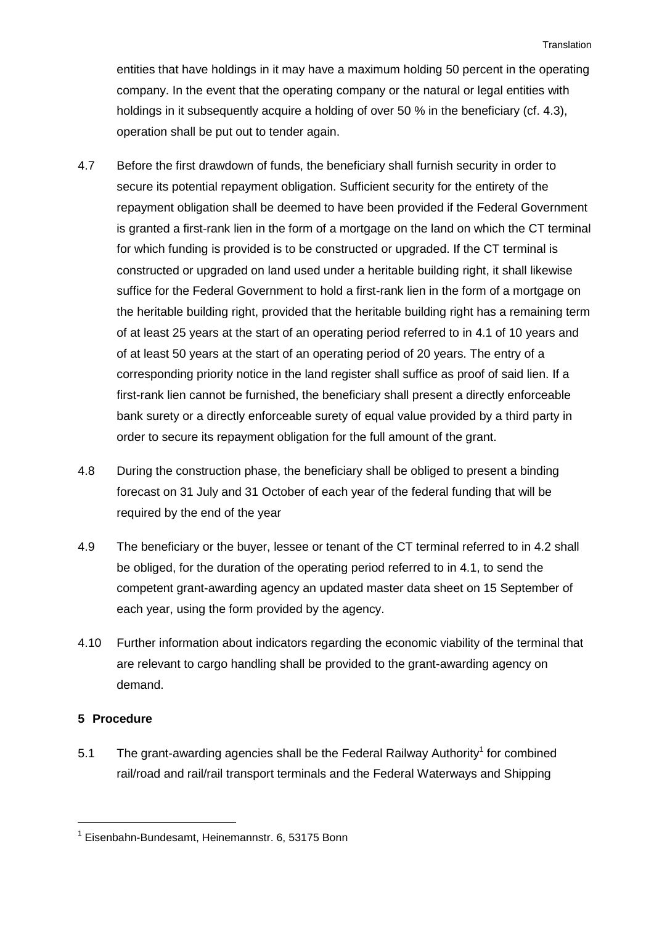entities that have holdings in it may have a maximum holding 50 percent in the operating company. In the event that the operating company or the natural or legal entities with holdings in it subsequently acquire a holding of over 50 % in the beneficiary (cf. 4.3), operation shall be put out to tender again.

- 4.7 Before the first drawdown of funds, the beneficiary shall furnish security in order to secure its potential repayment obligation. Sufficient security for the entirety of the repayment obligation shall be deemed to have been provided if the Federal Government is granted a first-rank lien in the form of a mortgage on the land on which the CT terminal for which funding is provided is to be constructed or upgraded. If the CT terminal is constructed or upgraded on land used under a heritable building right, it shall likewise suffice for the Federal Government to hold a first-rank lien in the form of a mortgage on the heritable building right, provided that the heritable building right has a remaining term of at least 25 years at the start of an operating period referred to in 4.1 of 10 years and of at least 50 years at the start of an operating period of 20 years. The entry of a corresponding priority notice in the land register shall suffice as proof of said lien. If a first-rank lien cannot be furnished, the beneficiary shall present a directly enforceable bank surety or a directly enforceable surety of equal value provided by a third party in order to secure its repayment obligation for the full amount of the grant.
- 4.8 During the construction phase, the beneficiary shall be obliged to present a binding forecast on 31 July and 31 October of each year of the federal funding that will be required by the end of the year
- 4.9 The beneficiary or the buyer, lessee or tenant of the CT terminal referred to in 4.2 shall be obliged, for the duration of the operating period referred to in 4.1, to send the competent grant-awarding agency an updated master data sheet on 15 September of each year, using the form provided by the agency.
- 4.10 Further information about indicators regarding the economic viability of the terminal that are relevant to cargo handling shall be provided to the grant-awarding agency on demand.

#### **5 Procedure**

5.1 The grant-awarding agencies shall be the Federal Railway Authority<sup>1</sup> for combined rail/road and rail/rail transport terminals and the Federal Waterways and Shipping

<sup>&</sup>lt;sup>1</sup> Eisenbahn-Bundesamt, Heinemannstr. 6, 53175 Bonn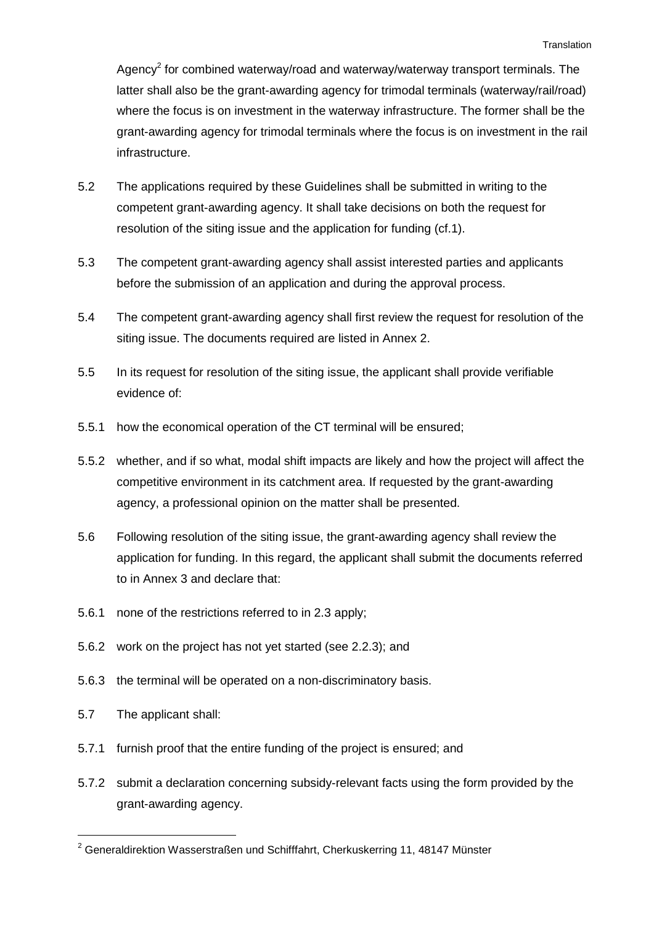Agency<sup>2</sup> for combined waterway/road and waterway/waterway transport terminals. The latter shall also be the grant-awarding agency for trimodal terminals (waterway/rail/road) where the focus is on investment in the waterway infrastructure. The former shall be the grant-awarding agency for trimodal terminals where the focus is on investment in the rail infrastructure.

- 5.2 The applications required by these Guidelines shall be submitted in writing to the competent grant-awarding agency. It shall take decisions on both the request for resolution of the siting issue and the application for funding (cf.1).
- 5.3 The competent grant-awarding agency shall assist interested parties and applicants before the submission of an application and during the approval process.
- 5.4 The competent grant-awarding agency shall first review the request for resolution of the siting issue. The documents required are listed in Annex 2.
- 5.5 In its request for resolution of the siting issue, the applicant shall provide verifiable evidence of:
- 5.5.1 how the economical operation of the CT terminal will be ensured;
- 5.5.2 whether, and if so what, modal shift impacts are likely and how the project will affect the competitive environment in its catchment area. If requested by the grant-awarding agency, a professional opinion on the matter shall be presented.
- 5.6 Following resolution of the siting issue, the grant-awarding agency shall review the application for funding. In this regard, the applicant shall submit the documents referred to in Annex 3 and declare that:
- 5.6.1 none of the restrictions referred to in 2.3 apply;
- 5.6.2 work on the project has not yet started (see 2.2.3); and
- 5.6.3 the terminal will be operated on a non-discriminatory basis.
- 5.7 The applicant shall:

 $\overline{a}$ 

- 5.7.1 furnish proof that the entire funding of the project is ensured; and
- 5.7.2 submit a declaration concerning subsidy-relevant facts using the form provided by the grant-awarding agency.

 $2$  Generaldirektion Wasserstraßen und Schifffahrt, Cherkuskerring 11, 48147 Münster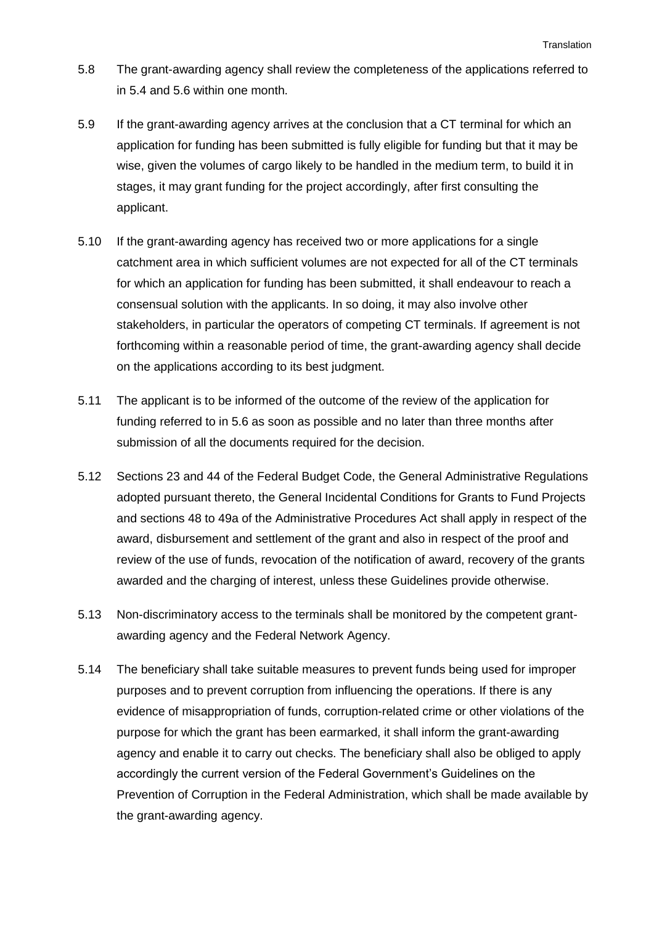- 5.8 The grant-awarding agency shall review the completeness of the applications referred to in 5.4 and 5.6 within one month.
- 5.9 If the grant-awarding agency arrives at the conclusion that a CT terminal for which an application for funding has been submitted is fully eligible for funding but that it may be wise, given the volumes of cargo likely to be handled in the medium term, to build it in stages, it may grant funding for the project accordingly, after first consulting the applicant.
- 5.10 If the grant-awarding agency has received two or more applications for a single catchment area in which sufficient volumes are not expected for all of the CT terminals for which an application for funding has been submitted, it shall endeavour to reach a consensual solution with the applicants. In so doing, it may also involve other stakeholders, in particular the operators of competing CT terminals. If agreement is not forthcoming within a reasonable period of time, the grant-awarding agency shall decide on the applications according to its best judgment.
- 5.11 The applicant is to be informed of the outcome of the review of the application for funding referred to in 5.6 as soon as possible and no later than three months after submission of all the documents required for the decision.
- 5.12 Sections 23 and 44 of the Federal Budget Code, the General Administrative Regulations adopted pursuant thereto, the General Incidental Conditions for Grants to Fund Projects and sections 48 to 49a of the Administrative Procedures Act shall apply in respect of the award, disbursement and settlement of the grant and also in respect of the proof and review of the use of funds, revocation of the notification of award, recovery of the grants awarded and the charging of interest, unless these Guidelines provide otherwise.
- 5.13 Non-discriminatory access to the terminals shall be monitored by the competent grantawarding agency and the Federal Network Agency.
- 5.14 The beneficiary shall take suitable measures to prevent funds being used for improper purposes and to prevent corruption from influencing the operations. If there is any evidence of misappropriation of funds, corruption-related crime or other violations of the purpose for which the grant has been earmarked, it shall inform the grant-awarding agency and enable it to carry out checks. The beneficiary shall also be obliged to apply accordingly the current version of the Federal Government's Guidelines on the Prevention of Corruption in the Federal Administration, which shall be made available by the grant-awarding agency.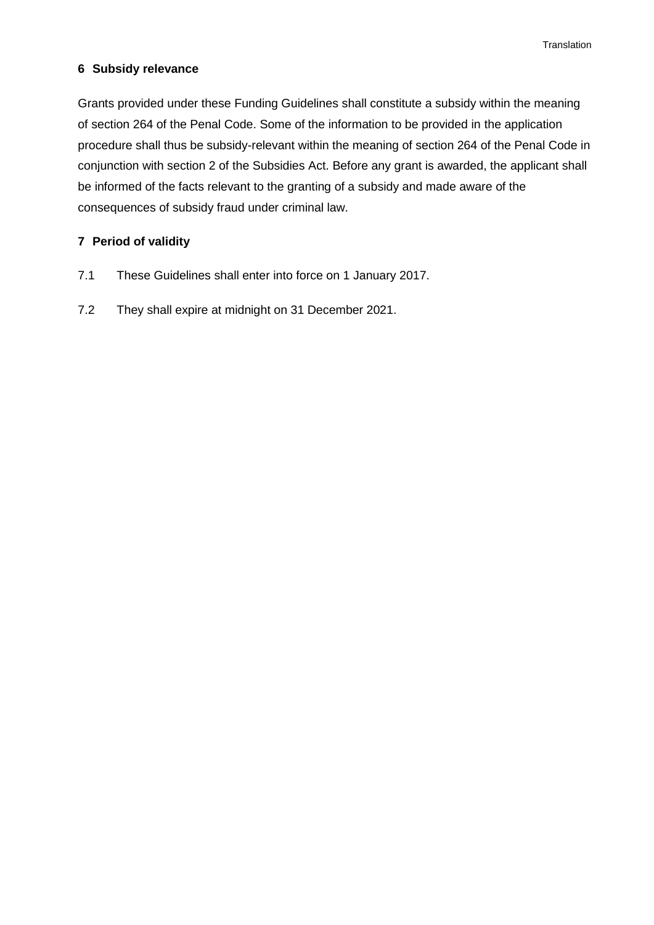#### **6 Subsidy relevance**

Grants provided under these Funding Guidelines shall constitute a subsidy within the meaning of section 264 of the Penal Code. Some of the information to be provided in the application procedure shall thus be subsidy-relevant within the meaning of section 264 of the Penal Code in conjunction with section 2 of the Subsidies Act. Before any grant is awarded, the applicant shall be informed of the facts relevant to the granting of a subsidy and made aware of the consequences of subsidy fraud under criminal law.

### **7 Period of validity**

- 7.1 These Guidelines shall enter into force on 1 January 2017.
- 7.2 They shall expire at midnight on 31 December 2021.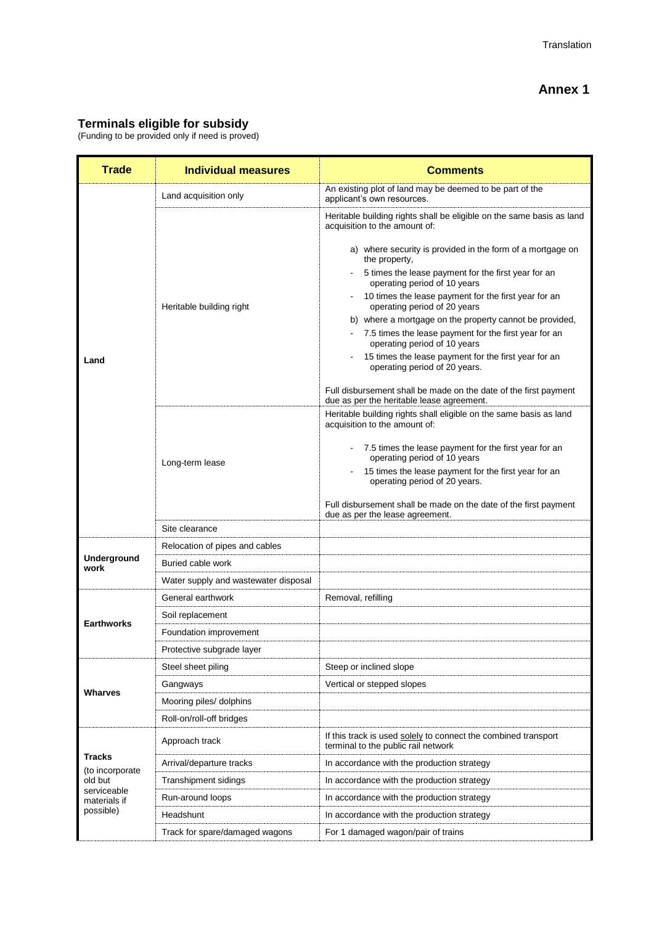## **Terminals eligible for subsidy**

(Funding to be provided only if need is proved)

| <b>Trade</b>                     | <b>Individual measures</b>           | <b>Comments</b>                                                                                               |
|----------------------------------|--------------------------------------|---------------------------------------------------------------------------------------------------------------|
|                                  | Land acquisition only                | An existing plot of land may be deemed to be part of the<br>applicant's own resources.                        |
|                                  |                                      | Heritable building rights shall be eligible on the same basis as land<br>acquisition to the amount of:        |
|                                  |                                      | a) where security is provided in the form of a mortgage on<br>the property,                                   |
|                                  |                                      | 5 times the lease payment for the first year for an<br>operating period of 10 years                           |
|                                  | Heritable building right             | 10 times the lease payment for the first year for an<br>operating period of 20 years                          |
|                                  |                                      | b) where a mortgage on the property cannot be provided,                                                       |
|                                  |                                      | 7.5 times the lease payment for the first year for an<br>operating period of 10 years                         |
| Land                             |                                      | 15 times the lease payment for the first year for an<br>operating period of 20 years.                         |
|                                  |                                      | Full disbursement shall be made on the date of the first payment<br>due as per the heritable lease agreement. |
|                                  |                                      | Heritable building rights shall eligible on the same basis as land<br>acquisition to the amount of:           |
|                                  |                                      | 7.5 times the lease payment for the first year for an<br>operating period of 10 years                         |
|                                  | Long-term lease                      | 15 times the lease payment for the first year for an<br>operating period of 20 years.                         |
|                                  |                                      | Full disbursement shall be made on the date of the first payment<br>due as per the lease agreement.           |
|                                  | Site clearance                       |                                                                                                               |
|                                  | Relocation of pipes and cables       |                                                                                                               |
| Underground<br>work              | Buried cable work                    |                                                                                                               |
|                                  | Water supply and wastewater disposal |                                                                                                               |
|                                  | General earthwork                    | Removal, refilling                                                                                            |
| <b>Earthworks</b>                | Soil replacement                     |                                                                                                               |
|                                  | Foundation improvement               |                                                                                                               |
|                                  | Protective subgrade layer            |                                                                                                               |
|                                  | Steel sheet piling                   | Steep or inclined slope                                                                                       |
| Wharves                          | Gangways                             | Vertical or stepped slopes                                                                                    |
|                                  | Mooring piles/ dolphins              |                                                                                                               |
|                                  | Roll-on/roll-off bridges             |                                                                                                               |
|                                  | Approach track                       | If this track is used solely to connect the combined transport<br>terminal to the public rail network         |
| <b>Tracks</b><br>(to incorporate | Arrival/departure tracks             | In accordance with the production strategy                                                                    |
| old but                          | Transhipment sidings                 | In accordance with the production strategy                                                                    |
| serviceable<br>materials if      | Run-around loops                     | In accordance with the production strategy                                                                    |
| possible)                        | Headshunt                            | In accordance with the production strategy                                                                    |
|                                  | Track for spare/damaged wagons       | For 1 damaged wagon/pair of trains                                                                            |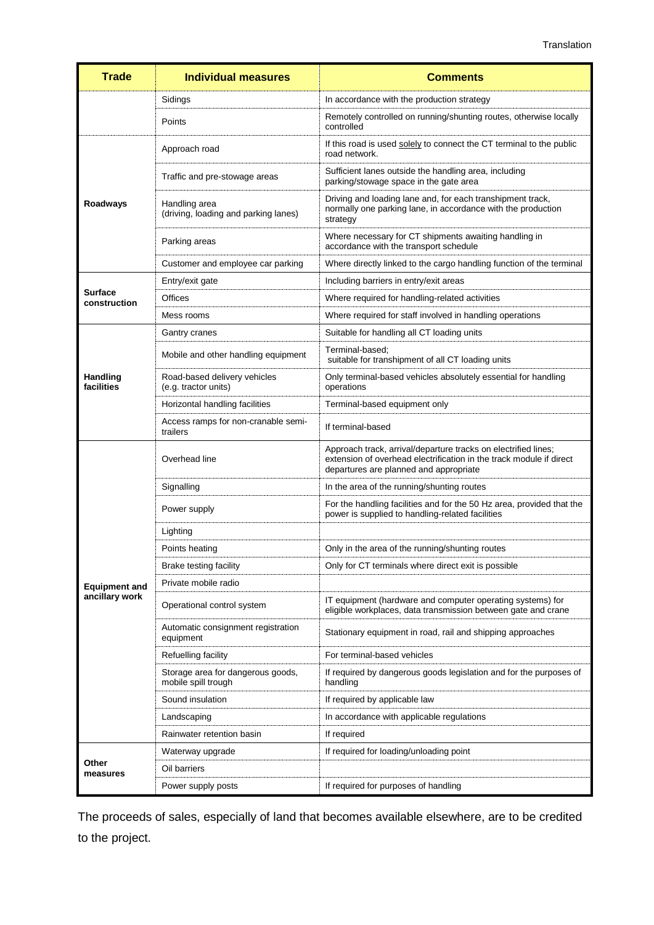| <b>Trade</b>                   | <b>Individual measures</b>                               | <b>Comments</b>                                                                                                                                                                 |
|--------------------------------|----------------------------------------------------------|---------------------------------------------------------------------------------------------------------------------------------------------------------------------------------|
|                                | Sidings                                                  | In accordance with the production strategy                                                                                                                                      |
|                                | Points                                                   | Remotely controlled on running/shunting routes, otherwise locally<br>controlled                                                                                                 |
|                                | Approach road                                            | If this road is used solely to connect the CT terminal to the public<br>road network.                                                                                           |
|                                | Traffic and pre-stowage areas                            | Sufficient lanes outside the handling area, including<br>parking/stowage space in the gate area                                                                                 |
| Roadways                       | Handling area<br>(driving, loading and parking lanes)    | Driving and loading lane and, for each transhipment track,<br>normally one parking lane, in accordance with the production<br>strategy                                          |
|                                | Parking areas                                            | Where necessary for CT shipments awaiting handling in<br>accordance with the transport schedule                                                                                 |
|                                | Customer and employee car parking                        | Where directly linked to the cargo handling function of the terminal                                                                                                            |
|                                | Entry/exit gate                                          | Including barriers in entry/exit areas                                                                                                                                          |
| <b>Surface</b><br>construction | Offices                                                  | Where required for handling-related activities                                                                                                                                  |
|                                | Mess rooms                                               | Where required for staff involved in handling operations                                                                                                                        |
|                                | Gantry cranes                                            | Suitable for handling all CT loading units                                                                                                                                      |
|                                | Mobile and other handling equipment                      | Terminal-based;<br>suitable for transhipment of all CT loading units                                                                                                            |
| Handling<br>facilities         | Road-based delivery vehicles<br>(e.g. tractor units)     | Only terminal-based vehicles absolutely essential for handling<br>operations                                                                                                    |
|                                | Horizontal handling facilities                           | Terminal-based equipment only                                                                                                                                                   |
|                                | Access ramps for non-cranable semi-<br>trailers          | If terminal-based                                                                                                                                                               |
|                                | Overhead line                                            | Approach track, arrival/departure tracks on electrified lines;<br>extension of overhead electrification in the track module if direct<br>departures are planned and appropriate |
|                                | Signalling                                               | In the area of the running/shunting routes                                                                                                                                      |
|                                | Power supply                                             | For the handling facilities and for the 50 Hz area, provided that the<br>power is supplied to handling-related facilities                                                       |
|                                | Lighting                                                 |                                                                                                                                                                                 |
|                                | Points heating                                           | Only in the area of the running/shunting routes                                                                                                                                 |
|                                | Brake testing facility                                   | Only for CT terminals where direct exit is possible                                                                                                                             |
| <b>Equipment and</b>           | Private mobile radio                                     |                                                                                                                                                                                 |
| ancillary work                 | Operational control system                               | IT equipment (hardware and computer operating systems) for<br>eligible workplaces, data transmission between gate and crane                                                     |
|                                | Automatic consignment registration<br>equipment          | Stationary equipment in road, rail and shipping approaches                                                                                                                      |
|                                | Refuelling facility                                      | For terminal-based vehicles                                                                                                                                                     |
|                                | Storage area for dangerous goods,<br>mobile spill trough | If required by dangerous goods legislation and for the purposes of<br>handling                                                                                                  |
|                                | Sound insulation                                         | If required by applicable law                                                                                                                                                   |
|                                | Landscaping                                              | In accordance with applicable regulations                                                                                                                                       |
|                                | Rainwater retention basin                                | If required                                                                                                                                                                     |
|                                | Waterway upgrade                                         | If required for loading/unloading point                                                                                                                                         |
| Other<br>measures              | Oil barriers                                             |                                                                                                                                                                                 |
|                                | Power supply posts                                       | If required for purposes of handling                                                                                                                                            |

The proceeds of sales, especially of land that becomes available elsewhere, are to be credited to the project.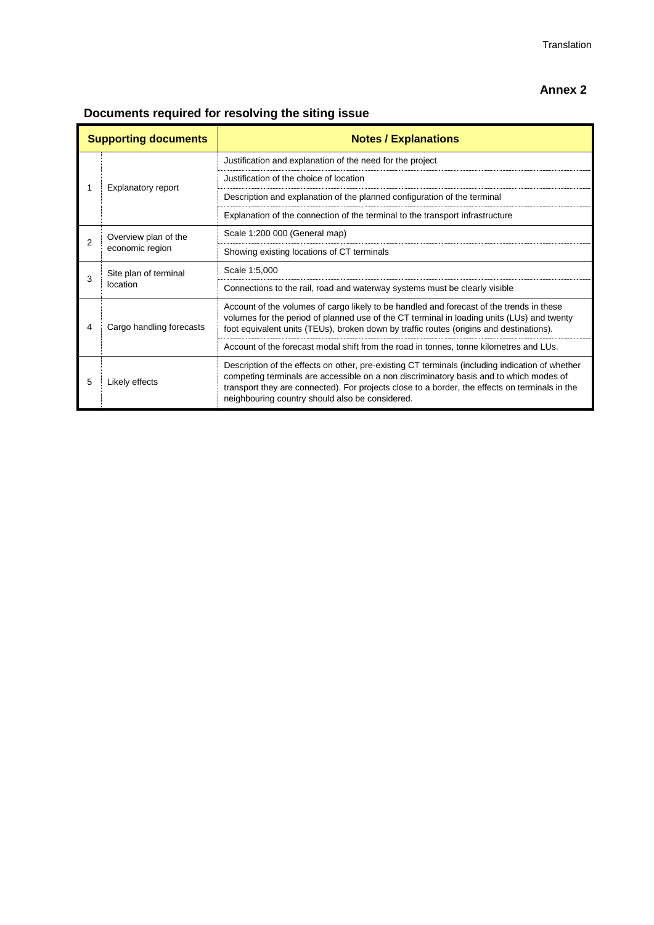# **Annex 2**

**Documents required for resolving the siting issue**

| <b>Supporting documents</b> |                                         | <b>Notes / Explanations</b>                                                                                                                                                                                                                                                                                                                    |
|-----------------------------|-----------------------------------------|------------------------------------------------------------------------------------------------------------------------------------------------------------------------------------------------------------------------------------------------------------------------------------------------------------------------------------------------|
|                             | Explanatory report                      | Justification and explanation of the need for the project                                                                                                                                                                                                                                                                                      |
|                             |                                         | Justification of the choice of location                                                                                                                                                                                                                                                                                                        |
|                             |                                         | Description and explanation of the planned configuration of the terminal                                                                                                                                                                                                                                                                       |
|                             |                                         | Explanation of the connection of the terminal to the transport infrastructure                                                                                                                                                                                                                                                                  |
| $\overline{2}$              | Overview plan of the<br>economic region | Scale 1:200 000 (General map)                                                                                                                                                                                                                                                                                                                  |
|                             |                                         | Showing existing locations of CT terminals                                                                                                                                                                                                                                                                                                     |
| 3                           | Site plan of terminal<br>location       | Scale 1:5,000                                                                                                                                                                                                                                                                                                                                  |
|                             |                                         | Connections to the rail, road and waterway systems must be clearly visible                                                                                                                                                                                                                                                                     |
| 4                           | Cargo handling forecasts                | Account of the volumes of cargo likely to be handled and forecast of the trends in these<br>volumes for the period of planned use of the CT terminal in loading units (LUs) and twenty<br>foot equivalent units (TEUs), broken down by traffic routes (origins and destinations).                                                              |
|                             |                                         | Account of the forecast modal shift from the road in tonnes, tonne kilometres and LUs.                                                                                                                                                                                                                                                         |
| 5                           | Likely effects                          | Description of the effects on other, pre-existing CT terminals (including indication of whether<br>competing terminals are accessible on a non discriminatory basis and to which modes of<br>transport they are connected). For projects close to a border, the effects on terminals in the<br>neighbouring country should also be considered. |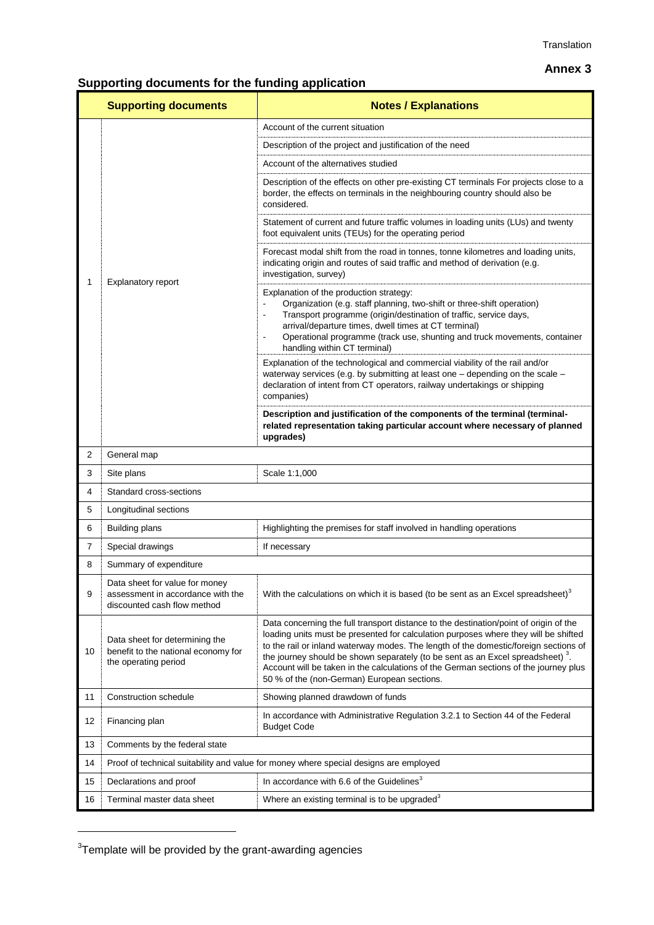#### **Annex 3**

# **Supporting documents for the funding application**

|    | <b>Supporting documents</b>                                                                        | <b>Notes / Explanations</b>                                                                                                                                                                                                                                                                                                                                                                                                                                                                               |
|----|----------------------------------------------------------------------------------------------------|-----------------------------------------------------------------------------------------------------------------------------------------------------------------------------------------------------------------------------------------------------------------------------------------------------------------------------------------------------------------------------------------------------------------------------------------------------------------------------------------------------------|
|    | Explanatory report                                                                                 | Account of the current situation                                                                                                                                                                                                                                                                                                                                                                                                                                                                          |
|    |                                                                                                    | Description of the project and justification of the need                                                                                                                                                                                                                                                                                                                                                                                                                                                  |
|    |                                                                                                    | Account of the alternatives studied                                                                                                                                                                                                                                                                                                                                                                                                                                                                       |
|    |                                                                                                    | Description of the effects on other pre-existing CT terminals For projects close to a<br>border, the effects on terminals in the neighbouring country should also be<br>considered.                                                                                                                                                                                                                                                                                                                       |
|    |                                                                                                    | Statement of current and future traffic volumes in loading units (LUs) and twenty<br>foot equivalent units (TEUs) for the operating period                                                                                                                                                                                                                                                                                                                                                                |
| 1  |                                                                                                    | Forecast modal shift from the road in tonnes, tonne kilometres and loading units,<br>indicating origin and routes of said traffic and method of derivation (e.g.<br>investigation, survey)                                                                                                                                                                                                                                                                                                                |
|    |                                                                                                    | Explanation of the production strategy:<br>Organization (e.g. staff planning, two-shift or three-shift operation)<br>Transport programme (origin/destination of traffic, service days,<br>ä,<br>arrival/departure times, dwell times at CT terminal)<br>Operational programme (track use, shunting and truck movements, container<br>handling within CT terminal)                                                                                                                                         |
|    |                                                                                                    | Explanation of the technological and commercial viability of the rail and/or<br>waterway services (e.g. by submitting at least one - depending on the scale -<br>declaration of intent from CT operators, railway undertakings or shipping<br>companies)                                                                                                                                                                                                                                                  |
|    |                                                                                                    | Description and justification of the components of the terminal (terminal-<br>related representation taking particular account where necessary of planned<br>upgrades)                                                                                                                                                                                                                                                                                                                                    |
| 2  | General map                                                                                        |                                                                                                                                                                                                                                                                                                                                                                                                                                                                                                           |
| 3  | Site plans                                                                                         | Scale 1:1,000                                                                                                                                                                                                                                                                                                                                                                                                                                                                                             |
| 4  | Standard cross-sections                                                                            |                                                                                                                                                                                                                                                                                                                                                                                                                                                                                                           |
| 5  | Longitudinal sections                                                                              |                                                                                                                                                                                                                                                                                                                                                                                                                                                                                                           |
| 6  | <b>Building plans</b>                                                                              | Highlighting the premises for staff involved in handling operations                                                                                                                                                                                                                                                                                                                                                                                                                                       |
| 7  | Special drawings                                                                                   | If necessary                                                                                                                                                                                                                                                                                                                                                                                                                                                                                              |
| 8  | Summary of expenditure                                                                             |                                                                                                                                                                                                                                                                                                                                                                                                                                                                                                           |
| 9  | Data sheet for value for money<br>assessment in accordance with the<br>discounted cash flow method | With the calculations on which it is based (to be sent as an Excel spreadsheet) <sup>3</sup>                                                                                                                                                                                                                                                                                                                                                                                                              |
| 10 | Data sheet for determining the<br>benefit to the national economy for<br>the operating period      | Data concerning the full transport distance to the destination/point of origin of the<br>loading units must be presented for calculation purposes where they will be shifted<br>to the rail or inland waterway modes. The length of the domestic/foreign sections of<br>the journey should be shown separately (to be sent as an Excel spreadsheet) <sup>3</sup> .<br>Account will be taken in the calculations of the German sections of the journey plus<br>50 % of the (non-German) European sections. |
| 11 | Construction schedule                                                                              | Showing planned drawdown of funds                                                                                                                                                                                                                                                                                                                                                                                                                                                                         |
| 12 | Financing plan                                                                                     | In accordance with Administrative Regulation 3.2.1 to Section 44 of the Federal<br><b>Budget Code</b>                                                                                                                                                                                                                                                                                                                                                                                                     |
| 13 | Comments by the federal state                                                                      |                                                                                                                                                                                                                                                                                                                                                                                                                                                                                                           |
| 14 | Proof of technical suitability and value for money where special designs are employed              |                                                                                                                                                                                                                                                                                                                                                                                                                                                                                                           |
| 15 | Declarations and proof                                                                             | In accordance with 6.6 of the Guidelines <sup>3</sup>                                                                                                                                                                                                                                                                                                                                                                                                                                                     |
| 16 | Terminal master data sheet                                                                         | Where an existing terminal is to be upgraded <sup>3</sup>                                                                                                                                                                                                                                                                                                                                                                                                                                                 |

 $3$ Template will be provided by the grant-awarding agencies

 $\overline{a}$